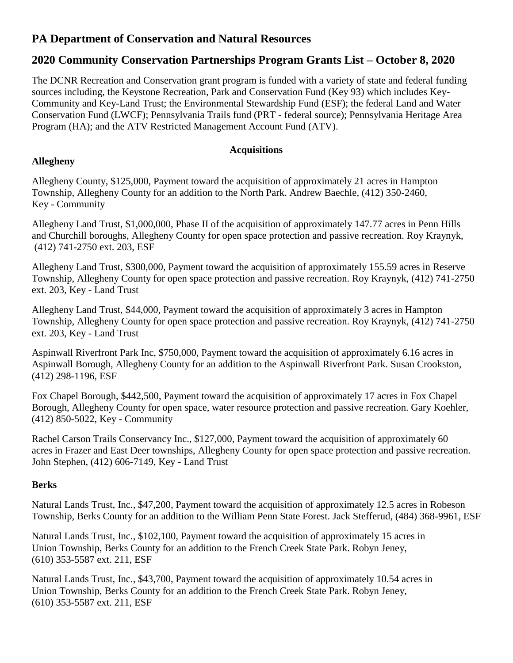# **PA Department of Conservation and Natural Resources**

# **2020 Community Conservation Partnerships Program Grants List – October 8, 2020**

The DCNR Recreation and Conservation grant program is funded with a variety of state and federal funding sources including, the Keystone Recreation, Park and Conservation Fund (Key 93) which includes Key-Community and Key-Land Trust; the Environmental Stewardship Fund (ESF); the federal Land and Water Conservation Fund (LWCF); Pennsylvania Trails fund (PRT - federal source); Pennsylvania Heritage Area Program (HA); and the ATV Restricted Management Account Fund (ATV).

# **Acquisitions**

# **Allegheny**

Allegheny County, \$125,000, Payment toward the acquisition of approximately 21 acres in Hampton Township, Allegheny County for an addition to the North Park. Andrew Baechle, (412) 350-2460, Key - Community

Allegheny Land Trust, \$1,000,000, Phase II of the acquisition of approximately 147.77 acres in Penn Hills and Churchill boroughs, Allegheny County for open space protection and passive recreation. Roy Kraynyk, (412) 741-2750 ext. 203, ESF

Allegheny Land Trust, \$300,000, Payment toward the acquisition of approximately 155.59 acres in Reserve Township, Allegheny County for open space protection and passive recreation. Roy Kraynyk, (412) 741-2750 ext. 203, Key - Land Trust

Allegheny Land Trust, \$44,000, Payment toward the acquisition of approximately 3 acres in Hampton Township, Allegheny County for open space protection and passive recreation. Roy Kraynyk, (412) 741-2750 ext. 203, Key - Land Trust

Aspinwall Riverfront Park Inc, \$750,000, Payment toward the acquisition of approximately 6.16 acres in Aspinwall Borough, Allegheny County for an addition to the Aspinwall Riverfront Park. Susan Crookston, (412) 298-1196, ESF

Fox Chapel Borough, \$442,500, Payment toward the acquisition of approximately 17 acres in Fox Chapel Borough, Allegheny County for open space, water resource protection and passive recreation. Gary Koehler, (412) 850-5022, Key - Community

Rachel Carson Trails Conservancy Inc., \$127,000, Payment toward the acquisition of approximately 60 acres in Frazer and East Deer townships, Allegheny County for open space protection and passive recreation. John Stephen, (412) 606-7149, Key - Land Trust

# **Berks**

Natural Lands Trust, Inc., \$47,200, Payment toward the acquisition of approximately 12.5 acres in Robeson Township, Berks County for an addition to the William Penn State Forest. Jack Stefferud, (484) 368-9961, ESF

Natural Lands Trust, Inc., \$102,100, Payment toward the acquisition of approximately 15 acres in Union Township, Berks County for an addition to the French Creek State Park. Robyn Jeney, (610) 353-5587 ext. 211, ESF

Natural Lands Trust, Inc., \$43,700, Payment toward the acquisition of approximately 10.54 acres in Union Township, Berks County for an addition to the French Creek State Park. Robyn Jeney, (610) 353-5587 ext. 211, ESF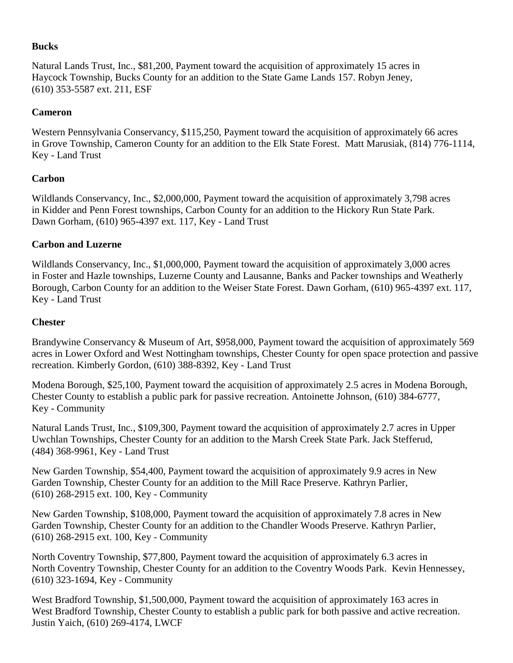#### **Bucks**

Natural Lands Trust, Inc., \$81,200, Payment toward the acquisition of approximately 15 acres in Haycock Township, Bucks County for an addition to the State Game Lands 157. Robyn Jeney, (610) 353-5587 ext. 211, ESF

#### **Cameron**

Western Pennsylvania Conservancy, \$115,250, Payment toward the acquisition of approximately 66 acres in Grove Township, Cameron County for an addition to the Elk State Forest. Matt Marusiak, (814) 776-1114, Key - Land Trust

#### **Carbon**

Wildlands Conservancy, Inc., \$2,000,000, Payment toward the acquisition of approximately 3,798 acres in Kidder and Penn Forest townships, Carbon County for an addition to the Hickory Run State Park. Dawn Gorham, (610) 965-4397 ext. 117, Key - Land Trust

#### **Carbon and Luzerne**

Wildlands Conservancy, Inc., \$1,000,000, Payment toward the acquisition of approximately 3,000 acres in Foster and Hazle townships, Luzerne County and Lausanne, Banks and Packer townships and Weatherly Borough, Carbon County for an addition to the Weiser State Forest. Dawn Gorham, (610) 965-4397 ext. 117, Key - Land Trust

#### **Chester**

Brandywine Conservancy & Museum of Art, \$958,000, Payment toward the acquisition of approximately 569 acres in Lower Oxford and West Nottingham townships, Chester County for open space protection and passive recreation. Kimberly Gordon, (610) 388-8392, Key - Land Trust

Modena Borough, \$25,100, Payment toward the acquisition of approximately 2.5 acres in Modena Borough, Chester County to establish a public park for passive recreation. Antoinette Johnson, (610) 384-6777, Key - Community

Natural Lands Trust, Inc., \$109,300, Payment toward the acquisition of approximately 2.7 acres in Upper Uwchlan Townships, Chester County for an addition to the Marsh Creek State Park. Jack Stefferud, (484) 368-9961, Key - Land Trust

New Garden Township, \$54,400, Payment toward the acquisition of approximately 9.9 acres in New Garden Township, Chester County for an addition to the Mill Race Preserve. Kathryn Parlier, (610) 268-2915 ext. 100, Key - Community

New Garden Township, \$108,000, Payment toward the acquisition of approximately 7.8 acres in New Garden Township, Chester County for an addition to the Chandler Woods Preserve. Kathryn Parlier, (610) 268-2915 ext. 100, Key - Community

North Coventry Township, \$77,800, Payment toward the acquisition of approximately 6.3 acres in North Coventry Township, Chester County for an addition to the Coventry Woods Park. Kevin Hennessey, (610) 323-1694, Key - Community

West Bradford Township, \$1,500,000, Payment toward the acquisition of approximately 163 acres in West Bradford Township, Chester County to establish a public park for both passive and active recreation. Justin Yaich, (610) 269-4174, LWCF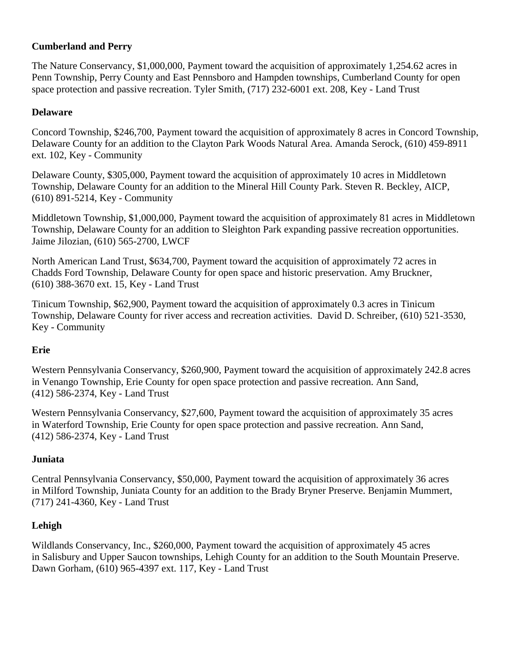## **Cumberland and Perry**

The Nature Conservancy, \$1,000,000, Payment toward the acquisition of approximately 1,254.62 acres in Penn Township, Perry County and East Pennsboro and Hampden townships, Cumberland County for open space protection and passive recreation. Tyler Smith, (717) 232-6001 ext. 208, Key - Land Trust

## **Delaware**

Concord Township, \$246,700, Payment toward the acquisition of approximately 8 acres in Concord Township, Delaware County for an addition to the Clayton Park Woods Natural Area. Amanda Serock, (610) 459-8911 ext. 102, Key - Community

Delaware County, \$305,000, Payment toward the acquisition of approximately 10 acres in Middletown Township, Delaware County for an addition to the Mineral Hill County Park. Steven R. Beckley, AICP, (610) 891-5214, Key - Community

Middletown Township, \$1,000,000, Payment toward the acquisition of approximately 81 acres in Middletown Township, Delaware County for an addition to Sleighton Park expanding passive recreation opportunities. Jaime Jilozian, (610) 565-2700, LWCF

North American Land Trust, \$634,700, Payment toward the acquisition of approximately 72 acres in Chadds Ford Township, Delaware County for open space and historic preservation. Amy Bruckner, (610) 388-3670 ext. 15, Key - Land Trust

Tinicum Township, \$62,900, Payment toward the acquisition of approximately 0.3 acres in Tinicum Township, Delaware County for river access and recreation activities. David D. Schreiber, (610) 521-3530, Key - Community

#### **Erie**

Western Pennsylvania Conservancy, \$260,900, Payment toward the acquisition of approximately 242.8 acres in Venango Township, Erie County for open space protection and passive recreation. Ann Sand, (412) 586-2374, Key - Land Trust

Western Pennsylvania Conservancy, \$27,600, Payment toward the acquisition of approximately 35 acres in Waterford Township, Erie County for open space protection and passive recreation. Ann Sand, (412) 586-2374, Key - Land Trust

#### **Juniata**

Central Pennsylvania Conservancy, \$50,000, Payment toward the acquisition of approximately 36 acres in Milford Township, Juniata County for an addition to the Brady Bryner Preserve. Benjamin Mummert, (717) 241-4360, Key - Land Trust

# **Lehigh**

Wildlands Conservancy, Inc., \$260,000, Payment toward the acquisition of approximately 45 acres in Salisbury and Upper Saucon townships, Lehigh County for an addition to the South Mountain Preserve. Dawn Gorham, (610) 965-4397 ext. 117, Key - Land Trust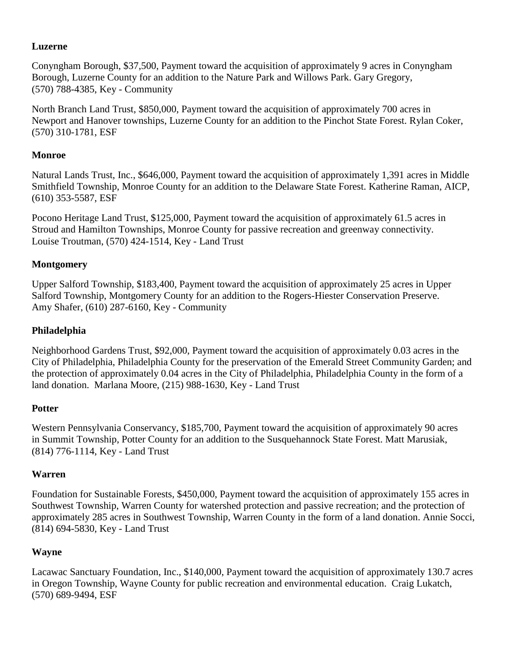## **Luzerne**

Conyngham Borough, \$37,500, Payment toward the acquisition of approximately 9 acres in Conyngham Borough, Luzerne County for an addition to the Nature Park and Willows Park. Gary Gregory, (570) 788-4385, Key - Community

North Branch Land Trust, \$850,000, Payment toward the acquisition of approximately 700 acres in Newport and Hanover townships, Luzerne County for an addition to the Pinchot State Forest. Rylan Coker, (570) 310-1781, ESF

## **Monroe**

Natural Lands Trust, Inc., \$646,000, Payment toward the acquisition of approximately 1,391 acres in Middle Smithfield Township, Monroe County for an addition to the Delaware State Forest. Katherine Raman, AICP, (610) 353-5587, ESF

Pocono Heritage Land Trust, \$125,000, Payment toward the acquisition of approximately 61.5 acres in Stroud and Hamilton Townships, Monroe County for passive recreation and greenway connectivity. Louise Troutman, (570) 424-1514, Key - Land Trust

## **Montgomery**

Upper Salford Township, \$183,400, Payment toward the acquisition of approximately 25 acres in Upper Salford Township, Montgomery County for an addition to the Rogers-Hiester Conservation Preserve. Amy Shafer, (610) 287-6160, Key - Community

## **Philadelphia**

Neighborhood Gardens Trust, \$92,000, Payment toward the acquisition of approximately 0.03 acres in the City of Philadelphia, Philadelphia County for the preservation of the Emerald Street Community Garden; and the protection of approximately 0.04 acres in the City of Philadelphia, Philadelphia County in the form of a land donation. Marlana Moore, (215) 988-1630, Key - Land Trust

#### **Potter**

Western Pennsylvania Conservancy, \$185,700, Payment toward the acquisition of approximately 90 acres in Summit Township, Potter County for an addition to the Susquehannock State Forest. Matt Marusiak, (814) 776-1114, Key - Land Trust

#### **Warren**

Foundation for Sustainable Forests, \$450,000, Payment toward the acquisition of approximately 155 acres in Southwest Township, Warren County for watershed protection and passive recreation; and the protection of approximately 285 acres in Southwest Township, Warren County in the form of a land donation. Annie Socci, (814) 694-5830, Key - Land Trust

#### **Wayne**

Lacawac Sanctuary Foundation, Inc., \$140,000, Payment toward the acquisition of approximately 130.7 acres in Oregon Township, Wayne County for public recreation and environmental education. Craig Lukatch, (570) 689-9494, ESF